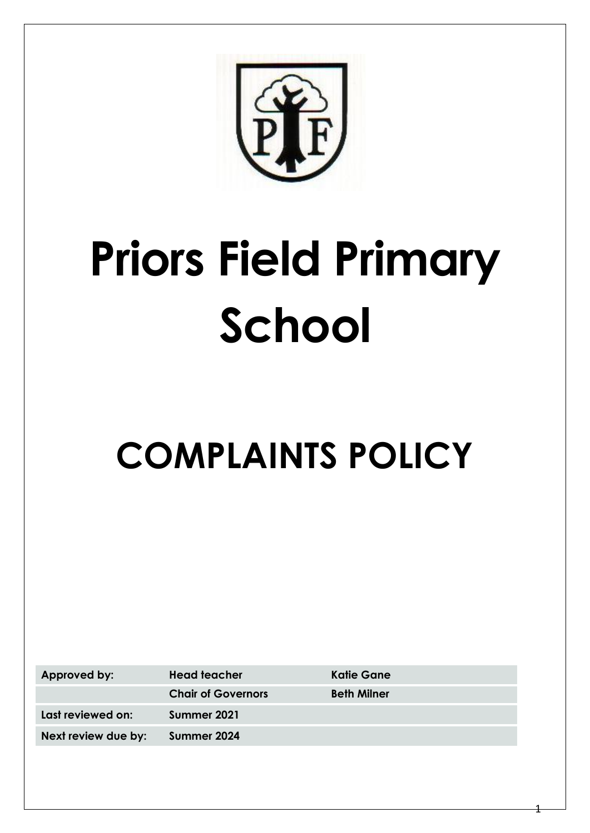# **Priors Field Primary School**

# **COMPLAINTS POLICY**

Approved by: **Head teacher Katie Gane Last reviewed on: Summer 2021**

**Chair of Governors Beth Milner Next review due by: Summer 2024**

1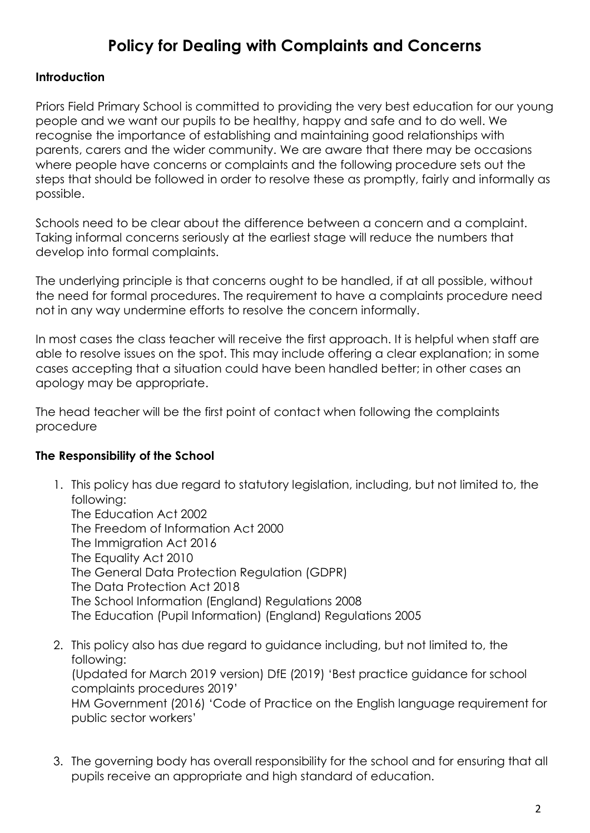# **Policy for Dealing with Complaints and Concerns**

#### **Introduction**

Priors Field Primary School is committed to providing the very best education for our young people and we want our pupils to be healthy, happy and safe and to do well. We recognise the importance of establishing and maintaining good relationships with parents, carers and the wider community. We are aware that there may be occasions where people have concerns or complaints and the following procedure sets out the steps that should be followed in order to resolve these as promptly, fairly and informally as possible.

Schools need to be clear about the difference between a concern and a complaint. Taking informal concerns seriously at the earliest stage will reduce the numbers that develop into formal complaints.

The underlying principle is that concerns ought to be handled, if at all possible, without the need for formal procedures. The requirement to have a complaints procedure need not in any way undermine efforts to resolve the concern informally.

In most cases the class teacher will receive the first approach. It is helpful when staff are able to resolve issues on the spot. This may include offering a clear explanation; in some cases accepting that a situation could have been handled better; in other cases an apology may be appropriate.

The head teacher will be the first point of contact when following the complaints procedure

# **The Responsibility of the School**

- 1. This policy has due regard to statutory legislation, including, but not limited to, the following: The Education Act 2002 The Freedom of Information Act 2000 The Immigration Act 2016 The Equality Act 2010 The General Data Protection Regulation (GDPR) The Data Protection Act 2018 The School Information (England) Regulations 2008 The Education (Pupil Information) (England) Regulations 2005
- 2. This policy also has due regard to guidance including, but not limited to, the following: (Updated for March 2019 version) DfE (2019) 'Best practice guidance for school complaints procedures 2019' HM Government (2016) 'Code of Practice on the English language requirement for public sector workers'
- 3. The governing body has overall responsibility for the school and for ensuring that all pupils receive an appropriate and high standard of education.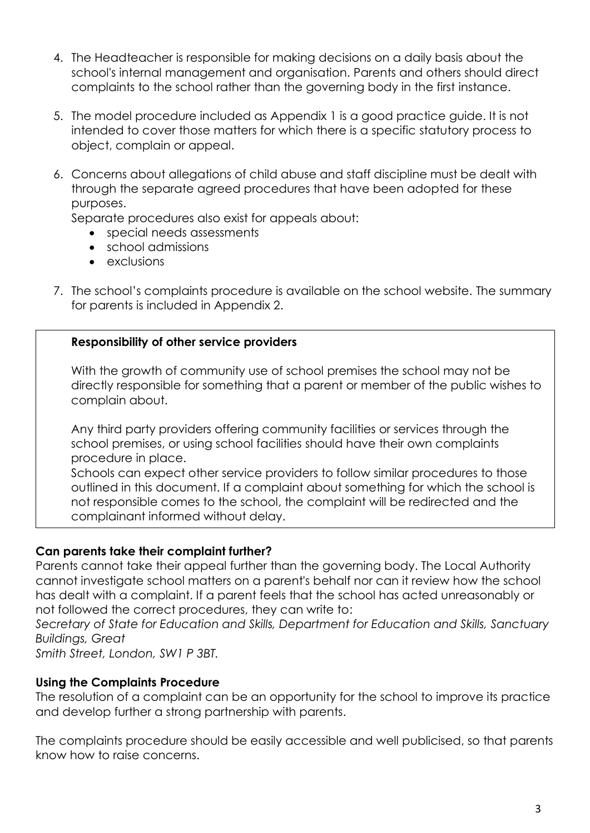- 4. The Headteacher is responsible for making decisions on a daily basis about the school's internal management and organisation. Parents and others should direct complaints to the school rather than the governing body in the first instance.
- 5. The model procedure included as Appendix 1 is a good practice guide. It is not intended to cover those matters for which there is a specific statutory process to object, complain or appeal.
- 6. Concerns about allegations of child abuse and staff discipline must be dealt with through the separate agreed procedures that have been adopted for these purposes.

Separate procedures also exist for appeals about:

- special needs assessments
- school admissions
- exclusions
- 7. The school's complaints procedure is available on the school website. The summary for parents is included in Appendix 2.

#### **Responsibility of other service providers**

With the growth of community use of school premises the school may not be directly responsible for something that a parent or member of the public wishes to complain about.

Any third party providers offering community facilities or services through the school premises, or using school facilities should have their own complaints procedure in place.

Schools can expect other service providers to follow similar procedures to those outlined in this document. If a complaint about something for which the school is not responsible comes to the school, the complaint will be redirected and the complainant informed without delay.

#### **Can parents take their complaint further?**

Parents cannot take their appeal further than the governing body. The Local Authority cannot investigate school matters on a parent's behalf nor can it review how the school has dealt with a complaint. If a parent feels that the school has acted unreasonably or not followed the correct procedures, they can write to:

*Secretary of State for Education and Skills, Department for Education and Skills, Sanctuary Buildings, Great*

*Smith Street, London, SW1 P 3BT.*

#### **Using the Complaints Procedure**

The resolution of a complaint can be an opportunity for the school to improve its practice and develop further a strong partnership with parents.

The complaints procedure should be easily accessible and well publicised, so that parents know how to raise concerns.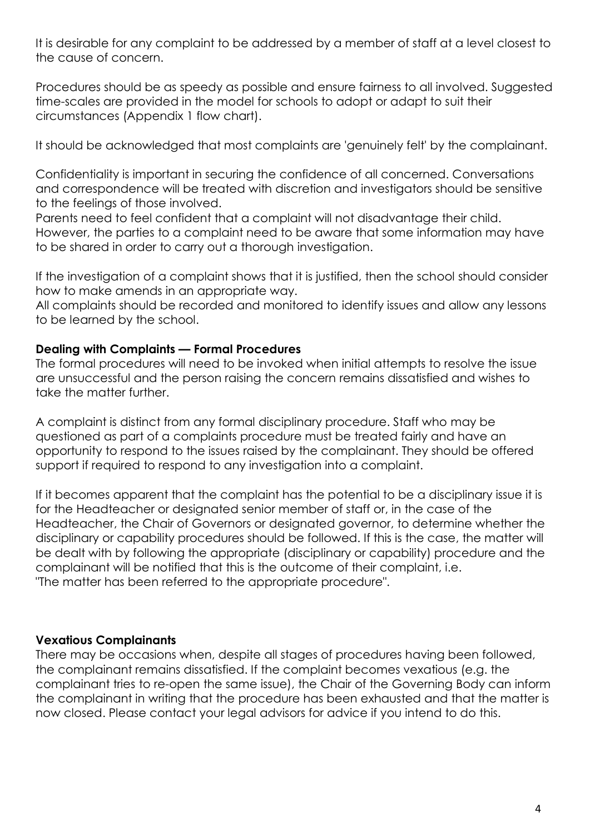It is desirable for any complaint to be addressed by a member of staff at a level closest to the cause of concern.

Procedures should be as speedy as possible and ensure fairness to all involved. Suggested time-scales are provided in the model for schools to adopt or adapt to suit their circumstances (Appendix 1 flow chart).

It should be acknowledged that most complaints are 'genuinely felt' by the complainant.

Confidentiality is important in securing the confidence of all concerned. Conversations and correspondence will be treated with discretion and investigators should be sensitive to the feelings of those involved.

Parents need to feel confident that a complaint will not disadvantage their child. However, the parties to a complaint need to be aware that some information may have to be shared in order to carry out a thorough investigation.

If the investigation of a complaint shows that it is justified, then the school should consider how to make amends in an appropriate way.

All complaints should be recorded and monitored to identify issues and allow any lessons to be learned by the school.

#### **Dealing with Complaints — Formal Procedures**

The formal procedures will need to be invoked when initial attempts to resolve the issue are unsuccessful and the person raising the concern remains dissatisfied and wishes to take the matter further.

A complaint is distinct from any formal disciplinary procedure. Staff who may be questioned as part of a complaints procedure must be treated fairly and have an opportunity to respond to the issues raised by the complainant. They should be offered support if required to respond to any investigation into a complaint.

If it becomes apparent that the complaint has the potential to be a disciplinary issue it is for the Headteacher or designated senior member of staff or, in the case of the Headteacher, the Chair of Governors or designated governor, to determine whether the disciplinary or capability procedures should be followed. If this is the case, the matter will be dealt with by following the appropriate (disciplinary or capability) procedure and the complainant will be notified that this is the outcome of their complaint, i.e. "The matter has been referred to the appropriate procedure".

# **Vexatious Complainants**

There may be occasions when, despite all stages of procedures having been followed, the complainant remains dissatisfied. If the complaint becomes vexatious (e.g. the complainant tries to re-open the same issue), the Chair of the Governing Body can inform the complainant in writing that the procedure has been exhausted and that the matter is now closed. Please contact your legal advisors for advice if you intend to do this.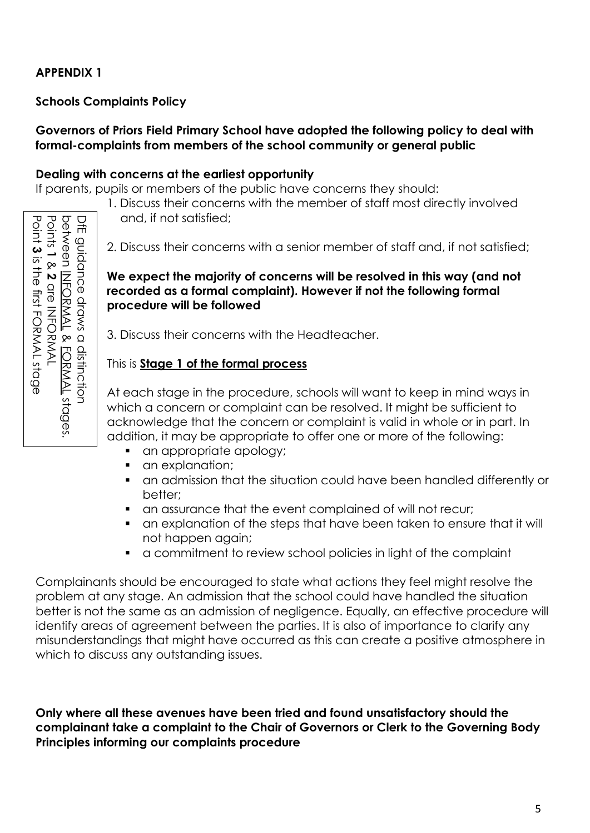# **APPENDIX 1**

#### **Schools Complaints Policy**

#### **Governors of Priors Field Primary School have adopted the following policy to deal with formal-complaints from members of the school community or general public**

#### **Dealing with concerns at the earliest opportunity**

If parents, pupils or members of the public have concerns they should:

1. Discuss their concerns with the member of staff most directly involved and, if not satisfied;

2. Discuss their concerns with a senior member of staff and, if not satisfied;

**We expect the majority of concerns will be resolved in this way (and not recorded as a formal complaint). However if not the following formal procedure will be followed**

3. Discuss their concerns with the Headteacher.

#### This is **Stage 1 of the formal process**

At each stage in the procedure, schools will want to keep in mind ways in which a concern or complaint can be resolved. It might be sufficient to acknowledge that the concern or complaint is valid in whole or in part. In addition, it may be appropriate to offer one or more of the following:

- an appropriate apology;
- **•** an explanation:
- an admission that the situation could have been handled differently or better;
- an assurance that the event complained of will not recur;
- an explanation of the steps that have been taken to ensure that it will not happen again;
- a commitment to review school policies in light of the complaint

Complainants should be encouraged to state what actions they feel might resolve the problem at any stage. An admission that the school could have handled the situation better is not the same as an admission of negligence. Equally, an effective procedure will identify areas of agreement between the parties. It is also of importance to clarify any misunderstandings that might have occurred as this can create a positive atmosphere in which to discuss any outstanding issues. **Principles in the same of the same of the same of the same of the same of the same of the same of the same of the same of the same of the same of the same of the same of the same of the same of the same of the same of the** 

**Only where all these avenues have been tried and found unsatisfactory should the complainant take a complaint to the Chair of Governors or Clerk to the Governing Body**

Point 3 is the first FORMAL stage is the first FORMAL stage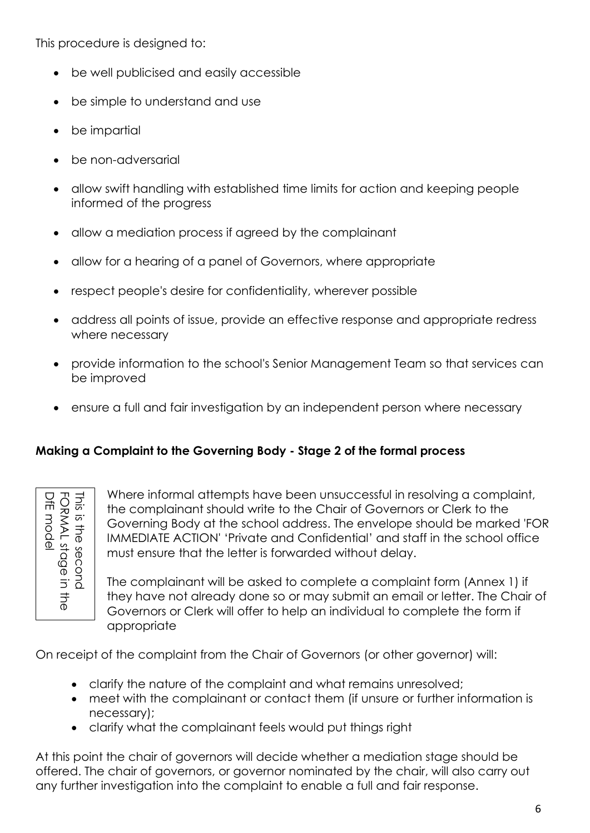This procedure is designed to:

- be well publicised and easily accessible
- be simple to understand and use
- be impartial
- be non-adversarial
- allow swift handling with established time limits for action and keeping people informed of the progress
- allow a mediation process if agreed by the complainant
- allow for a hearing of a panel of Governors, where appropriate
- respect people's desire for confidentiality, wherever possible
- address all points of issue, provide an effective response and appropriate redress where necessary
- provide information to the school's Senior Management Team so that services can be improved
- ensure a full and fair investigation by an independent person where necessary

#### **Making a Complaint to the Governing Body - Stage 2 of the formal process**

| $\frac{15}{25}$<br>⋚<br>Ē<br>Ī<br>r<br>⊵<br>ାକ<br>ବ୍<br>$\bar{\mathbb{o}}$<br>tage<br>ၟ<br>Ģ<br>Ξ<br>٦<br>ō |  |
|-------------------------------------------------------------------------------------------------------------|--|
|-------------------------------------------------------------------------------------------------------------|--|

Where informal attempts have been unsuccessful in resolving a complaint, the complainant should write to the Chair of Governors or Clerk to the Governing Body at the school address. The envelope should be marked 'FOR IMMEDIATE ACTION' 'Private and Confidential' and staff in the school office must ensure that the letter is forwarded without delay. The complaint should with to the Covernors of Governors of Liest the complaint to the complaint of Governors of Clerk of Governors of Clerk will be the complete a complaint form (A<br>
The complained without delay.<br>
The compl

The complainant will be asked to complete a complaint form (Annex 1) if they have not already done so or may submit an email or letter. The Chair of Governors or Clerk will offer to help an individual to complete the form if appropriate

On receipt of the complaint from the Chair of Governors (or other governor) will:

- clarify the nature of the complaint and what remains unresolved;
- meet with the complainant or contact them (if unsure or further information is necessary);
- clarify what the complainant feels would put things right

At this point the chair of governors will decide whether a mediation stage should be offered. The chair of governors, or governor nominated by the chair, will also carry out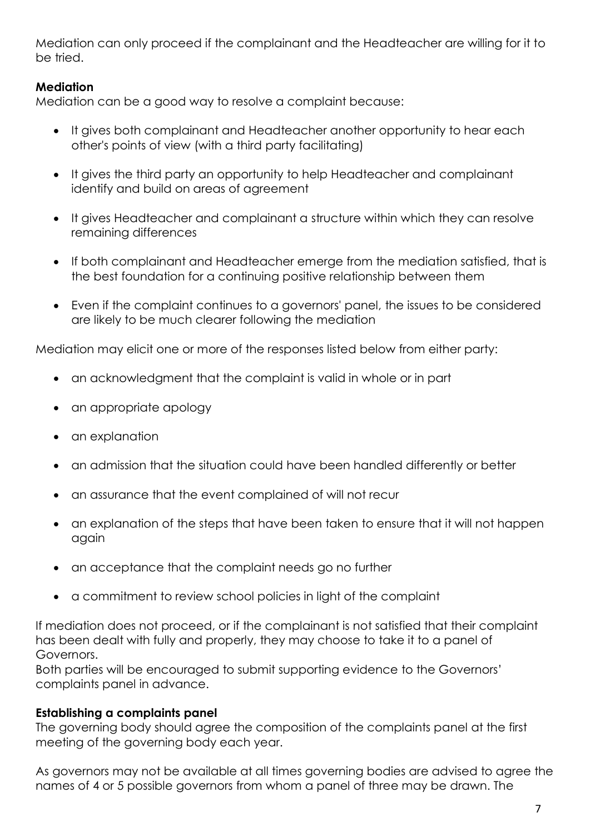Mediation can only proceed if the complainant and the Headteacher are willing for it to be tried.

#### **Mediation**

Mediation can be a good way to resolve a complaint because:

- It gives both complainant and Headteacher another opportunity to hear each other's points of view (with a third party facilitating)
- It gives the third party an opportunity to help Headteacher and complainant identify and build on areas of agreement
- It gives Headteacher and complainant a structure within which they can resolve remaining differences
- If both complainant and Headteacher emerge from the mediation satisfied, that is the best foundation for a continuing positive relationship between them
- Even if the complaint continues to a governors' panel, the issues to be considered are likely to be much clearer following the mediation

Mediation may elicit one or more of the responses listed below from either party:

- an acknowledgment that the complaint is valid in whole or in part
- an appropriate apology
- an explanation
- an admission that the situation could have been handled differently or better
- an assurance that the event complained of will not recur
- an explanation of the steps that have been taken to ensure that it will not happen again
- an acceptance that the complaint needs go no further
- a commitment to review school policies in light of the complaint

If mediation does not proceed, or if the complainant is not satisfied that their complaint has been dealt with fully and properly, they may choose to take it to a panel of Governors.

Both parties will be encouraged to submit supporting evidence to the Governors' complaints panel in advance.

#### **Establishing a complaints panel**

The governing body should agree the composition of the complaints panel at the first meeting of the governing body each year.

As governors may not be available at all times governing bodies are advised to agree the names of 4 or 5 possible governors from whom a panel of three may be drawn. The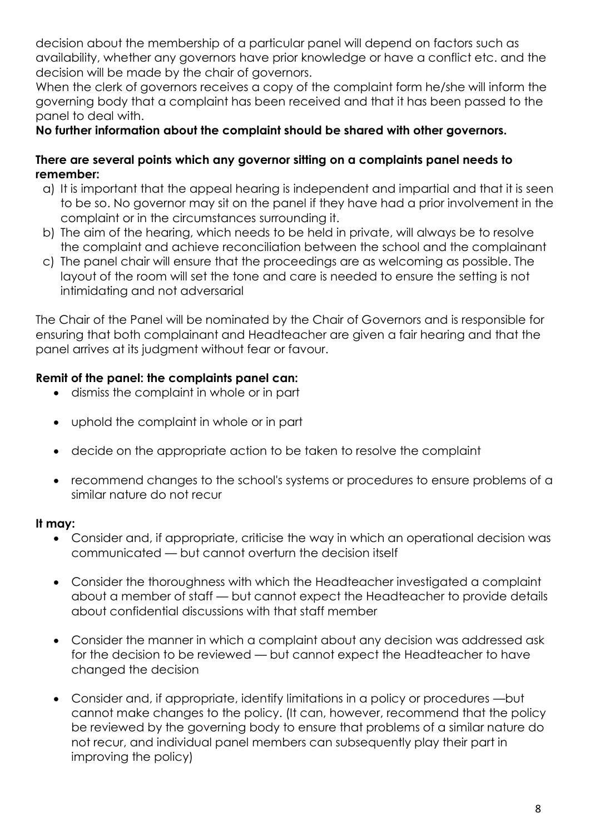decision about the membership of a particular panel will depend on factors such as availability, whether any governors have prior knowledge or have a conflict etc. and the decision will be made by the chair of governors.

When the clerk of governors receives a copy of the complaint form he/she will inform the governing body that a complaint has been received and that it has been passed to the panel to deal with.

#### **No further information about the complaint should be shared with other governors.**

#### **There are several points which any governor sitting on a complaints panel needs to remember:**

- a) It is important that the appeal hearing is independent and impartial and that it is seen to be so. No governor may sit on the panel if they have had a prior involvement in the complaint or in the circumstances surrounding it.
- b) The aim of the hearing, which needs to be held in private, will always be to resolve the complaint and achieve reconciliation between the school and the complainant
- c) The panel chair will ensure that the proceedings are as welcoming as possible. The layout of the room will set the tone and care is needed to ensure the setting is not intimidating and not adversarial

The Chair of the Panel will be nominated by the Chair of Governors and is responsible for ensuring that both complainant and Headteacher are given a fair hearing and that the panel arrives at its judgment without fear or favour.

#### **Remit of the panel: the complaints panel can:**

- dismiss the complaint in whole or in part
- uphold the complaint in whole or in part
- decide on the appropriate action to be taken to resolve the complaint
- recommend changes to the school's systems or procedures to ensure problems of a similar nature do not recur

#### **It may:**

- Consider and, if appropriate, criticise the way in which an operational decision was communicated — but cannot overturn the decision itself
- Consider the thoroughness with which the Headteacher investigated a complaint about a member of staff — but cannot expect the Headteacher to provide details about confidential discussions with that staff member
- Consider the manner in which a complaint about any decision was addressed ask for the decision to be reviewed — but cannot expect the Headteacher to have changed the decision
- Consider and, if appropriate, identify limitations in a policy or procedures —but cannot make changes to the policy. (It can, however, recommend that the policy be reviewed by the governing body to ensure that problems of a similar nature do not recur, and individual panel members can subsequently play their part in improving the policy)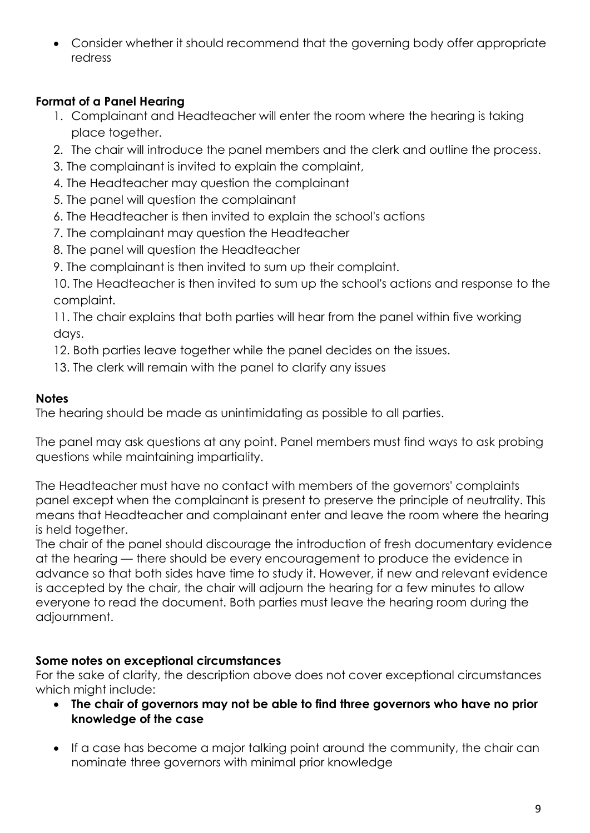• Consider whether it should recommend that the governing body offer appropriate redress

# **Format of a Panel Hearing**

- 1. Complainant and Headteacher will enter the room where the hearing is taking place together.
- 2. The chair will introduce the panel members and the clerk and outline the process.
- 3. The complainant is invited to explain the complaint,
- 4. The Headteacher may question the complainant
- 5. The panel will question the complainant
- 6. The Headteacher is then invited to explain the school's actions
- 7. The complainant may question the Headteacher
- 8. The panel will question the Headteacher
- 9. The complainant is then invited to sum up their complaint.

10. The Headteacher is then invited to sum up the school's actions and response to the complaint.

11. The chair explains that both parties will hear from the panel within five working days.

- 12. Both parties leave together while the panel decides on the issues.
- 13. The clerk will remain with the panel to clarify any issues

#### **Notes**

The hearing should be made as unintimidating as possible to all parties.

The panel may ask questions at any point. Panel members must find ways to ask probing questions while maintaining impartiality.

The Headteacher must have no contact with members of the governors' complaints panel except when the complainant is present to preserve the principle of neutrality. This means that Headteacher and complainant enter and leave the room where the hearing is held together.

The chair of the panel should discourage the introduction of fresh documentary evidence at the hearing — there should be every encouragement to produce the evidence in advance so that both sides have time to study it. However, if new and relevant evidence is accepted by the chair, the chair will adjourn the hearing for a few minutes to allow everyone to read the document. Both parties must leave the hearing room during the adjournment.

# **Some notes on exceptional circumstances**

For the sake of clarity, the description above does not cover exceptional circumstances which might include:

- **The chair of governors may not be able to find three governors who have no prior knowledge of the case**
- If a case has become a major talking point around the community, the chair can nominate three governors with minimal prior knowledge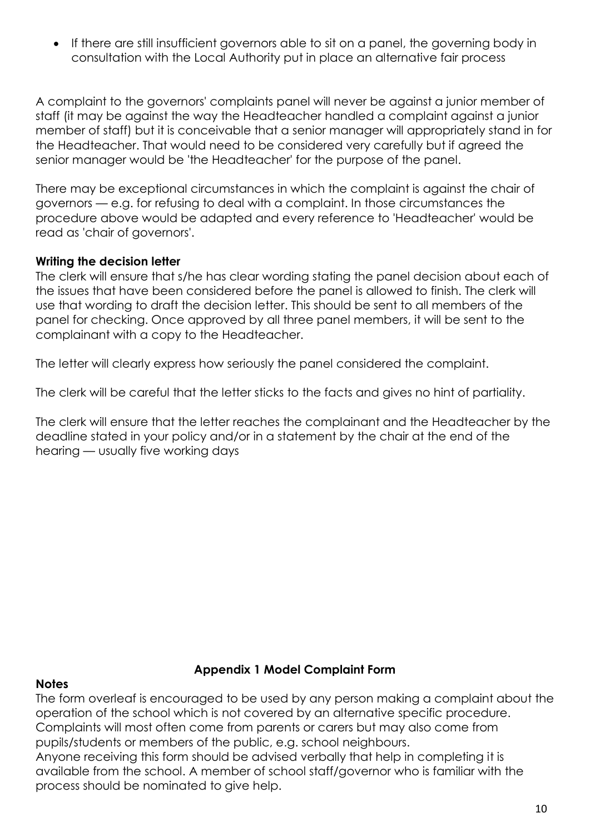• If there are still insufficient governors able to sit on a panel, the governing body in consultation with the Local Authority put in place an alternative fair process

A complaint to the governors' complaints panel will never be against a junior member of staff (it may be against the way the Headteacher handled a complaint against a junior member of staff) but it is conceivable that a senior manager will appropriately stand in for the Headteacher. That would need to be considered very carefully but if agreed the senior manager would be 'the Headteacher' for the purpose of the panel.

There may be exceptional circumstances in which the complaint is against the chair of governors — e.g. for refusing to deal with a complaint. In those circumstances the procedure above would be adapted and every reference to 'Headteacher' would be read as 'chair of governors'.

#### **Writing the decision letter**

The clerk will ensure that s/he has clear wording stating the panel decision about each of the issues that have been considered before the panel is allowed to finish. The clerk will use that wording to draft the decision letter. This should be sent to all members of the panel for checking. Once approved by all three panel members, it will be sent to the complainant with a copy to the Headteacher.

The letter will clearly express how seriously the panel considered the complaint.

The clerk will be careful that the letter sticks to the facts and gives no hint of partiality.

The clerk will ensure that the letter reaches the complainant and the Headteacher by the deadline stated in your policy and/or in a statement by the chair at the end of the hearing — usually five working days

#### **Appendix 1 Model Complaint Form**

#### **Notes**

The form overleaf is encouraged to be used by any person making a complaint about the operation of the school which is not covered by an alternative specific procedure. Complaints will most often come from parents or carers but may also come from pupils/students or members of the public, e.g. school neighbours. Anyone receiving this form should be advised verbally that help in completing it is available from the school. A member of school staff/governor who is familiar with the

process should be nominated to give help.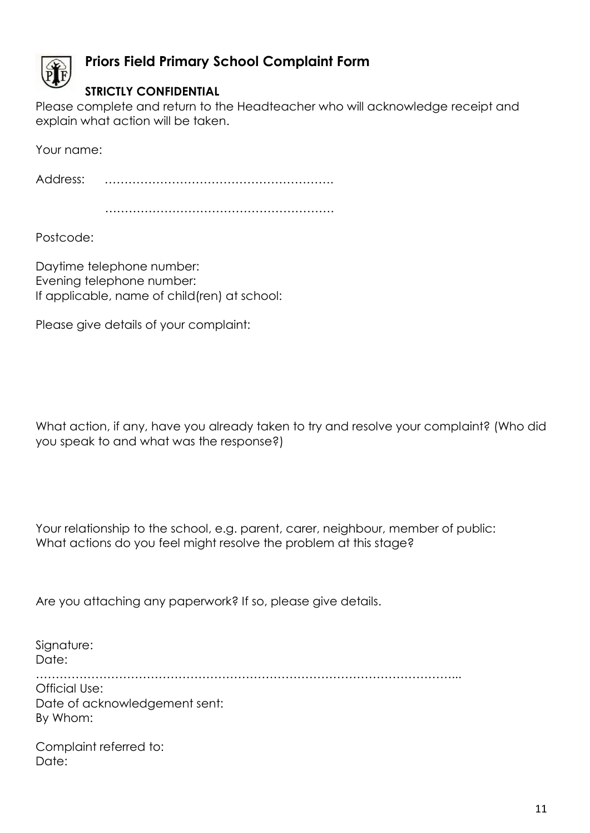

# **Priors Field Primary School Complaint Form**

# **STRICTLY CONFIDENTIAL**

Please complete and return to the Headteacher who will acknowledge receipt and explain what action will be taken.

Your name:

Address: ………………………………………………….

………………………………………………….

Postcode:

Daytime telephone number: Evening telephone number: If applicable, name of child(ren) at school:

Please give details of your complaint:

What action, if any, have you already taken to try and resolve your complaint? (Who did you speak to and what was the response?)

Your relationship to the school, e.g. parent, carer, neighbour, member of public: What actions do you feel might resolve the problem at this stage?

Are you attaching any paperwork? If so, please give details.

Signature: Date: ……………………………………………………………………………………………... Official Use: Date of acknowledgement sent: By Whom:

Complaint referred to: Date: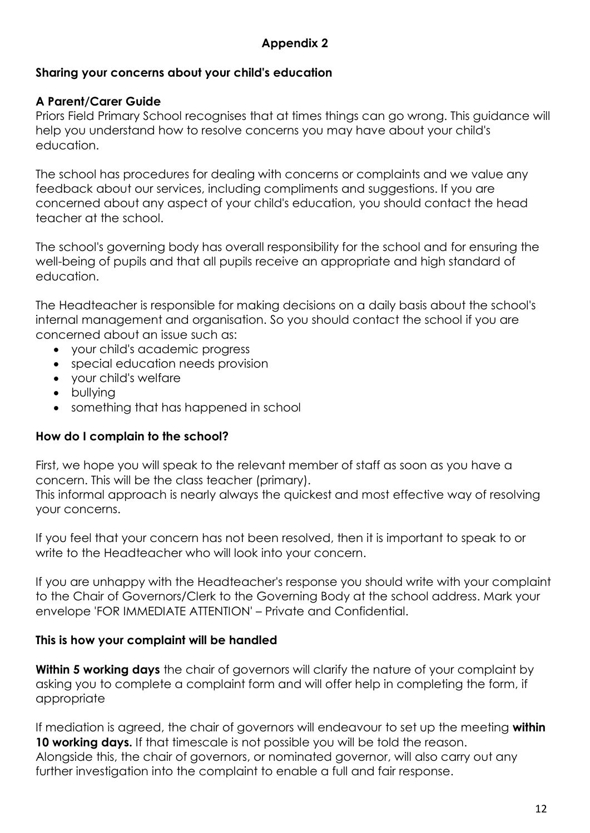# **Appendix 2**

#### **Sharing your concerns about your child's education**

#### **A Parent/Carer Guide**

Priors Field Primary School recognises that at times things can go wrong. This guidance will help you understand how to resolve concerns you may have about your child's education.

The school has procedures for dealing with concerns or complaints and we value any feedback about our services, including compliments and suggestions. If you are concerned about any aspect of your child's education, you should contact the head teacher at the school.

The school's governing body has overall responsibility for the school and for ensuring the well-being of pupils and that all pupils receive an appropriate and high standard of education.

The Headteacher is responsible for making decisions on a daily basis about the school's internal management and organisation. So you should contact the school if you are concerned about an issue such as:

- your child's academic progress
- special education needs provision
- your child's welfare
- bullying
- something that has happened in school

#### **How do I complain to the school?**

First, we hope you will speak to the relevant member of staff as soon as you have a concern. This will be the class teacher (primary).

This informal approach is nearly always the quickest and most effective way of resolving your concerns.

If you feel that your concern has not been resolved, then it is important to speak to or write to the Headteacher who will look into your concern.

If you are unhappy with the Headteacher's response you should write with your complaint to the Chair of Governors/Clerk to the Governing Body at the school address. Mark your envelope 'FOR IMMEDIATE ATTENTION' – Private and Confidential.

#### **This is how your complaint will be handled**

**Within 5 working days** the chair of governors will clarify the nature of your complaint by asking you to complete a complaint form and will offer help in completing the form, if appropriate

If mediation is agreed, the chair of governors will endeavour to set up the meeting **within 10 working days.** If that timescale is not possible you will be told the reason. Alongside this, the chair of governors, or nominated governor, will also carry out any further investigation into the complaint to enable a full and fair response.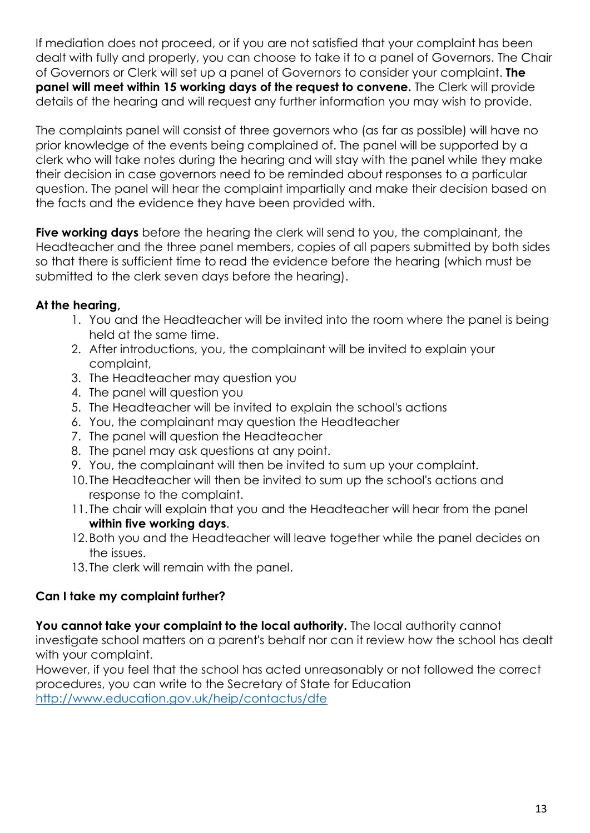If mediation does not proceed, or if you are not satisfied that your complaint has been dealt with fully and properly, you can choose to take it to a panel of Governors. The Chair of Governors or Clerk will set up a panel of Governors to consider your complaint. **The panel will meet within 15 working days of the request to convene.** The Clerk will provide details of the hearing and will request any further information you may wish to provide.

The complaints panel will consist of three governors who (as far as possible) will have no prior knowledge of the events being complained of. The panel will be supported by a clerk who will take notes during the hearing and will stay with the panel while they make their decision in case governors need to be reminded about responses to a particular question. The panel will hear the complaint impartially and make their decision based on the facts and the evidence they have been provided with.

**Five working days** before the hearing the clerk will send to you, the complainant, the Headteacher and the three panel members, copies of all papers submitted by both sides so that there is sufficient time to read the evidence before the hearing (which must be submitted to the clerk seven days before the hearing).

# **At the hearing,**

- 1. You and the Headteacher will be invited into the room where the panel is being held at the same time.
- 2. After introductions, you, the complainant will be invited to explain your complaint,
- 3. The Headteacher may question you
- 4. The panel will question you
- 5. The Headteacher will be invited to explain the school's actions
- 6. You, the complainant may question the Headteacher
- 7. The panel will question the Headteacher
- 8. The panel may ask questions at any point.
- 9. You, the complainant will then be invited to sum up your complaint.
- 10. The Headteacher will then be invited to sum up the school's actions and response to the complaint.
- 11. The chair will explain that you and the Headteacher will hear from the panel **within five working days**.
- 12.Both you and the Headteacher will leave together while the panel decides on the issues.
- 13. The clerk will remain with the panel.

# **Can I take my complaint further?**

You cannot take your complaint to the local authority. The local authority cannot investigate school matters on a parent's behalf nor can it review how the school has dealt

with your complaint.

However, if you feel that the school has acted unreasonably or not followed the correct procedures, you can write to the Secretary of State for Education <http://www.education.gov.uk/heip/contactus/dfe>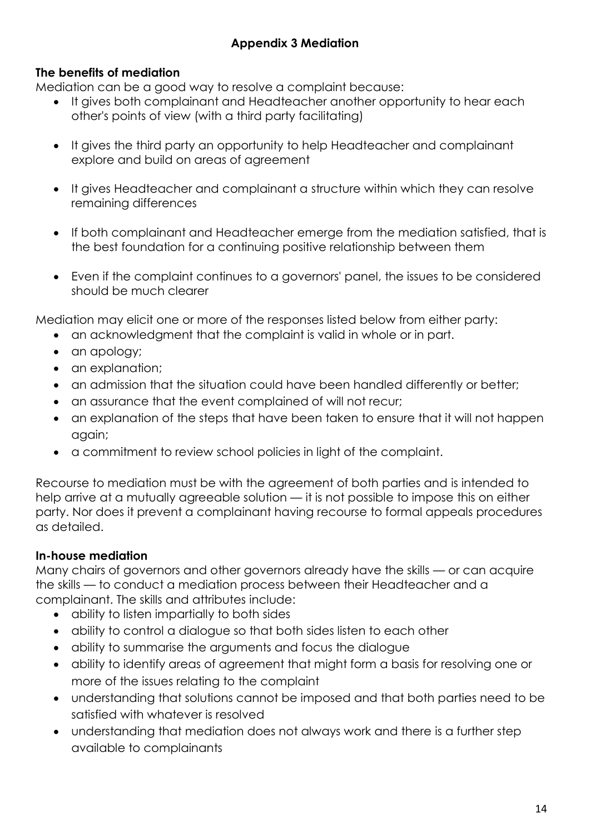# **Appendix 3 Mediation**

#### **The benefits of mediation**

Mediation can be a good way to resolve a complaint because:

- It gives both complainant and Headteacher another opportunity to hear each other's points of view (with a third party facilitating)
- It gives the third party an opportunity to help Headteacher and complainant explore and build on areas of agreement
- It gives Headteacher and complainant a structure within which they can resolve remaining differences
- If both complainant and Headteacher emerge from the mediation satisfied, that is the best foundation for a continuing positive relationship between them
- Even if the complaint continues to a governors' panel, the issues to be considered should be much clearer

Mediation may elicit one or more of the responses listed below from either party:

- an acknowledgment that the complaint is valid in whole or in part.
- an apology;
- an explanation;
- an admission that the situation could have been handled differently or better;
- an assurance that the event complained of will not recur;
- an explanation of the steps that have been taken to ensure that it will not happen again;
- a commitment to review school policies in light of the complaint.

Recourse to mediation must be with the agreement of both parties and is intended to help arrive at a mutually agreeable solution — it is not possible to impose this on either party. Nor does it prevent a complainant having recourse to formal appeals procedures as detailed.

# **In-house mediation**

Many chairs of governors and other governors already have the skills — or can acquire the skills — to conduct a mediation process between their Headteacher and a complainant. The skills and attributes include:

- ability to listen impartially to both sides
- ability to control a dialogue so that both sides listen to each other
- ability to summarise the arguments and focus the dialogue
- ability to identify areas of agreement that might form a basis for resolving one or more of the issues relating to the complaint
- understanding that solutions cannot be imposed and that both parties need to be satisfied with whatever is resolved
- understanding that mediation does not always work and there is a further step available to complainants